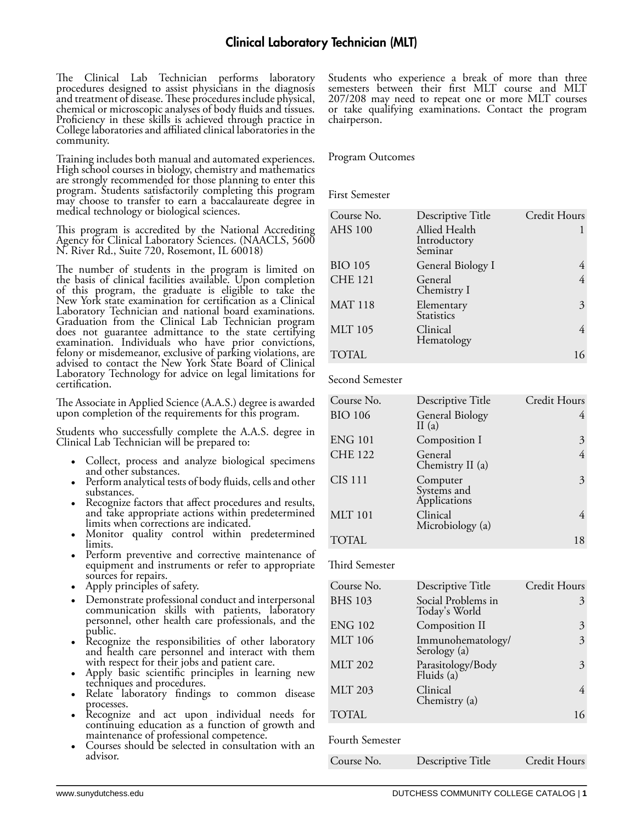The Clinical Lab Technician performs laboratory procedures designed to assist physicians in the diagnosis and treatment of disease. These procedures include physical, chemical or microscopic analyses of body fluids and tissues. Proficiency in these skills is achieved through practice in College laboratories and affiliated clinical laboratories in the community.

Training includes both manual and automated experiences. High school courses in biology, chemistry and mathematics are strongly recommended for those planning to enter this program. Students satisfactorily completing this program may choose to transfer to earn a baccalaureate degree in medical technology or biological sciences.

This program is accredited by the National Accrediting Agency for Clinical Laboratory Sciences. (NAACLS, 5600 N. River Rd., Suite 720, Rosemont, IL 60018)

The number of students in the program is limited on the basis of clinical facilities available. Upon completion of this program, the graduate is eligible to take the New York state examination for certification as a Clinical Laboratory Technician and national board examinations. Graduation from the Clinical Lab Technician program does not guarantee admittance to the state certifying examination. Individuals who have prior convictions, felony or misdemeanor, exclusive of parking violations, are advised to contact the New York State Board of Clinical Laboratory Technology for advice on legal limitations for certification.

The Associate in Applied Science (A.A.S.) degree is awarded upon completion of the requirements for this program.

Students who successfully complete the A.A.S. degree in Clinical Lab Technician will be prepared to:

- Collect, process and analyze biological specimens and other substances.
- Perform analytical tests of body fluids, cells and other substances.
- Recognize factors that affect procedures and results, and take appropriate actions within predetermined limits when corrections are indicated.
- Monitor quality control within predetermined limits.
- Perform preventive and corrective maintenance of equipment and instruments or refer to appropriate sources for repairs.
- Apply principles of safety.
- Demonstrate professional conduct and interpersonal communication skills with patients, laboratory personnel, other health care professionals, and the public.
- Recognize the responsibilities of other laboratory and health care personnel and interact with them with respect for their jobs and patient care.
- Apply basic scientific principles in learning new techniques and procedures.
- Relate laboratory findings to common disease processes.
- Recognize and act upon individual needs for continuing education as a function of growth and maintenance of professional competence.
- Courses should be selected in consultation with an advisor.

Students who experience a break of more than three semesters between their first MLT course and MLT 207/208 may need to repeat one or more MLT courses or take qualifying examinations. Contact the program chairperson.

## Program Outcomes

First Semester

| Course No.     | Descriptive Title                        | Credit Hours |
|----------------|------------------------------------------|--------------|
| <b>AHS 100</b> | Allied Health<br>Introductory<br>Seminar |              |
| <b>BIO 105</b> | General Biology I                        |              |
| <b>CHE 121</b> | General<br>Chemistry I                   |              |
| <b>MAT 118</b> | Elementary<br>Statistics                 | 3            |
| <b>MLT 105</b> | Clinical<br>Hematology                   |              |
| <b>TOTAL</b>   |                                          |              |

Second Semester

| Course No.     | Descriptive Title                       | Credit Hours |
|----------------|-----------------------------------------|--------------|
|                |                                         |              |
| <b>BIO 106</b> | <b>General Biology</b><br>II $(a)$      |              |
| <b>ENG 101</b> | Composition I                           | 3            |
| <b>CHE 122</b> | General<br>Chemistry II (a)             |              |
| <b>CIS 111</b> | Computer<br>Systems and<br>Applications | 3            |
| <b>MLT</b> 101 | Clinical<br>Microbiology (a)            |              |
| TOTAL          |                                         |              |

## Third Semester

| Course No.     | Descriptive Title                   | Credit Hours |
|----------------|-------------------------------------|--------------|
| <b>BHS 103</b> | Social Problems in<br>Today's World | 3            |
| <b>ENG 102</b> | Composition II                      | 3            |
| <b>MLT 106</b> | Immunohematology/<br>Serology (a)   | 3            |
| <b>MLT 202</b> | Parasitology/Body<br>Fluids (a)     | 3            |
| <b>MLT 203</b> | Clinical<br>Chemistry (a)           |              |
| TOTAL          |                                     |              |

Fourth Semester

| Course No. | Descriptive Title | Credit Hours |
|------------|-------------------|--------------|
|------------|-------------------|--------------|